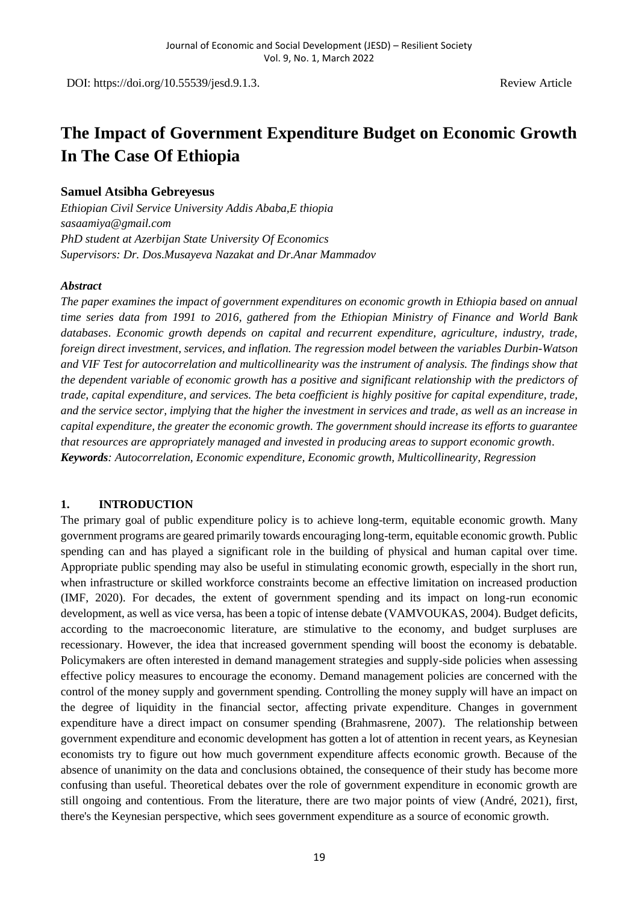DOI: https://doi.org/10.55539/jesd.9.1.3. Review Article

# **The Impact of Government Expenditure Budget on Economic Growth In The Case Of Ethiopia**

#### **Samuel Atsibha Gebreyesus**

*Ethiopian Civil Service University Addis Ababa,E thiopia sasaamiya@gmail.com PhD student at Azerbijan State University Of Economics Supervisors: Dr. Dos.Musayeva Nazakat and Dr.Anar Mammadov* 

#### *Abstract*

*The paper examines the impact of government expenditures on economic growth in Ethiopia based on annual time series data from 1991 to 2016, gathered from the Ethiopian Ministry of Finance and World Bank databases*. *Economic growth depends on capital and recurrent expenditure, agriculture, industry, trade, foreign direct investment, services, and inflation. The regression model between the variables Durbin-Watson and VIF Test for autocorrelation and multicollinearity was the instrument of analysis. The findings show that the dependent variable of economic growth has a positive and significant relationship with the predictors of trade, capital expenditure, and services. The beta coefficient is highly positive for capital expenditure, trade, and the service sector, implying that the higher the investment in services and trade, as well as an increase in capital expenditure, the greater the economic growth. The government should increase its efforts to guarantee that resources are appropriately managed and invested in producing areas to support economic growth*. *Keywords: Autocorrelation, Economic expenditure, Economic growth, Multicollinearity, Regression*

#### **1. INTRODUCTION**

The primary goal of public expenditure policy is to achieve long-term, equitable economic growth. Many government programs are geared primarily towards encouraging long-term, equitable economic growth. Public spending can and has played a significant role in the building of physical and human capital over time. Appropriate public spending may also be useful in stimulating economic growth, especially in the short run, when infrastructure or skilled workforce constraints become an effective limitation on increased production (IMF, 2020). For decades, the extent of government spending and its impact on long-run economic development, as well as vice versa, has been a topic of intense debate (VAMVOUKAS, 2004). Budget deficits, according to the macroeconomic literature, are stimulative to the economy, and budget surpluses are recessionary. However, the idea that increased government spending will boost the economy is debatable. Policymakers are often interested in demand management strategies and supply-side policies when assessing effective policy measures to encourage the economy. Demand management policies are concerned with the control of the money supply and government spending. Controlling the money supply will have an impact on the degree of liquidity in the financial sector, affecting private expenditure. Changes in government expenditure have a direct impact on consumer spending (Brahmasrene, 2007). The relationship between government expenditure and economic development has gotten a lot of attention in recent years, as Keynesian economists try to figure out how much government expenditure affects economic growth. Because of the absence of unanimity on the data and conclusions obtained, the consequence of their study has become more confusing than useful. Theoretical debates over the role of government expenditure in economic growth are still ongoing and contentious. From the literature, there are two major points of view (André, 2021), first, there's the Keynesian perspective, which sees government expenditure as a source of economic growth.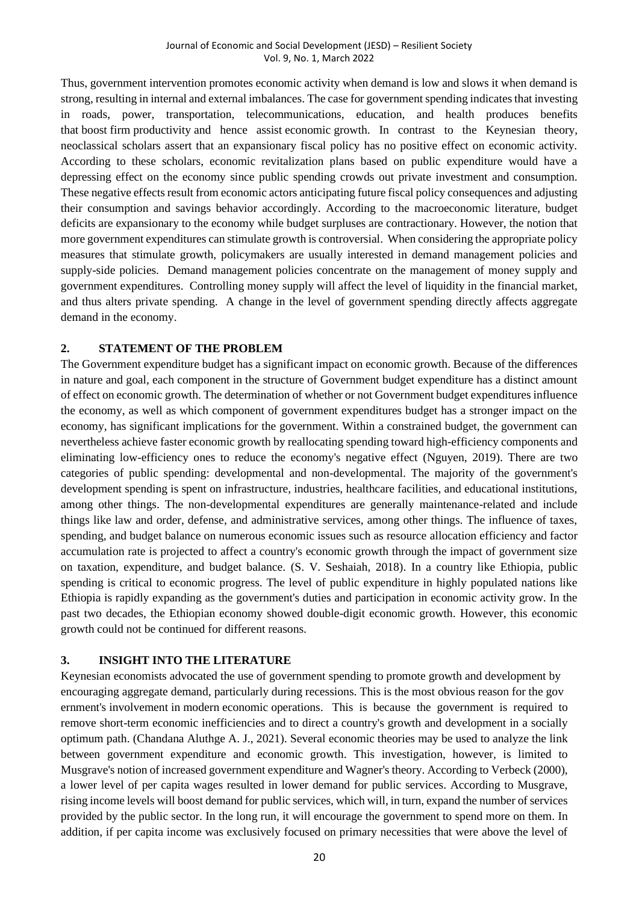Thus, government intervention promotes economic activity when demand is low and slows it when demand is strong, resulting in internal and external imbalances. The case for government spending indicates that investing in roads, power, transportation, telecommunications, education, and health produces benefits that boost firm productivity and hence assist economic growth. In contrast to the Keynesian theory, neoclassical scholars assert that an expansionary fiscal policy has no positive effect on economic activity. According to these scholars, economic revitalization plans based on public expenditure would have a depressing effect on the economy since public spending crowds out private investment and consumption. These negative effects result from economic actors anticipating future fiscal policy consequences and adjusting their consumption and savings behavior accordingly. According to the macroeconomic literature, budget deficits are expansionary to the economy while budget surpluses are contractionary. However, the notion that more government expenditures can stimulate growth is controversial. When considering the appropriate policy measures that stimulate growth, policymakers are usually interested in demand management policies and supply-side policies. Demand management policies concentrate on the management of money supply and government expenditures. Controlling money supply will affect the level of liquidity in the financial market, and thus alters private spending. A change in the level of government spending directly affects aggregate demand in the economy.

## **2. STATEMENT OF THE PROBLEM**

The Government expenditure budget has a significant impact on economic growth. Because of the differences in nature and goal, each component in the structure of Government budget expenditure has a distinct amount of effect on economic growth. The determination of whether or not Government budget expenditures influence the economy, as well as which component of government expenditures budget has a stronger impact on the economy, has significant implications for the government. Within a constrained budget, the government can nevertheless achieve faster economic growth by reallocating spending toward high-efficiency components and eliminating low-efficiency ones to reduce the economy's negative effect (Nguyen, 2019). There are two categories of public spending: developmental and non-developmental. The majority of the government's development spending is spent on infrastructure, industries, healthcare facilities, and educational institutions, among other things. The non-developmental expenditures are generally maintenance-related and include things like law and order, defense, and administrative services, among other things. The influence of taxes, spending, and budget balance on numerous economic issues such as resource allocation efficiency and factor accumulation rate is projected to affect a country's economic growth through the impact of government size on taxation, expenditure, and budget balance. (S. V. Seshaiah, 2018). In a country like Ethiopia, public spending is critical to economic progress. The level of public expenditure in highly populated nations like Ethiopia is rapidly expanding as the government's duties and participation in economic activity grow. In the past two decades, the Ethiopian economy showed double-digit economic growth. However, this economic growth could not be continued for different reasons.

## **3. INSIGHT INTO THE LITERATURE**

Keynesian economists advocated the use of government spending to promote growth and development by encouraging aggregate demand, particularly during recessions. This is the most obvious reason for the gov ernment's involvement in modern economic operations. This is because the government is required to remove short-term economic inefficiencies and to direct a country's growth and development in a socially optimum path. (Chandana Aluthge A. J., 2021). Several economic theories may be used to analyze the link between government expenditure and economic growth. This investigation, however, is limited to Musgrave's notion of increased government expenditure and Wagner's theory. According to Verbeck (2000), a lower level of per capita wages resulted in lower demand for public services. According to Musgrave, rising income levels will boost demand for public services, which will, in turn, expand the number of services provided by the public sector. In the long run, it will encourage the government to spend more on them. In addition, if per capita income was exclusively focused on primary necessities that were above the level of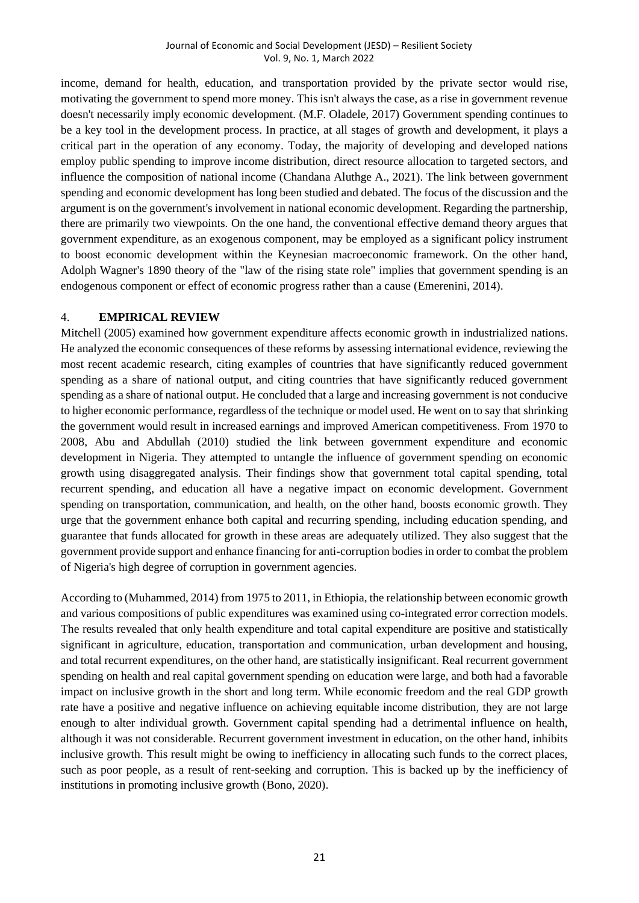income, demand for health, education, and transportation provided by the private sector would rise, motivating the government to spend more money. This isn't always the case, as a rise in government revenue doesn't necessarily imply economic development. (M.F. Oladele, 2017) Government spending continues to be a key tool in the development process. In practice, at all stages of growth and development, it plays a critical part in the operation of any economy. Today, the majority of developing and developed nations employ public spending to improve income distribution, direct resource allocation to targeted sectors, and influence the composition of national income (Chandana Aluthge A., 2021). The link between government spending and economic development has long been studied and debated. The focus of the discussion and the argument is on the government's involvement in national economic development. Regarding the partnership, there are primarily two viewpoints. On the one hand, the conventional effective demand theory argues that government expenditure, as an exogenous component, may be employed as a significant policy instrument to boost economic development within the Keynesian macroeconomic framework. On the other hand, Adolph Wagner's 1890 theory of the "law of the rising state role" implies that government spending is an endogenous component or effect of economic progress rather than a cause (Emerenini, 2014).

## 4. **EMPIRICAL REVIEW**

Mitchell (2005) examined how government expenditure affects economic growth in industrialized nations. He analyzed the economic consequences of these reforms by assessing international evidence, reviewing the most recent academic research, citing examples of countries that have significantly reduced government spending as a share of national output, and citing countries that have significantly reduced government spending as a share of national output. He concluded that a large and increasing government is not conducive to higher economic performance, regardless of the technique or model used. He went on to say that shrinking the government would result in increased earnings and improved American competitiveness. From 1970 to 2008, Abu and Abdullah (2010) studied the link between government expenditure and economic development in Nigeria. They attempted to untangle the influence of government spending on economic growth using disaggregated analysis. Their findings show that government total capital spending, total recurrent spending, and education all have a negative impact on economic development. Government spending on transportation, communication, and health, on the other hand, boosts economic growth. They urge that the government enhance both capital and recurring spending, including education spending, and guarantee that funds allocated for growth in these areas are adequately utilized. They also suggest that the government provide support and enhance financing for anti-corruption bodies in order to combat the problem of Nigeria's high degree of corruption in government agencies.

According to (Muhammed, 2014) from 1975 to 2011, in Ethiopia, the relationship between economic growth and various compositions of public expenditures was examined using co-integrated error correction models. The results revealed that only health expenditure and total capital expenditure are positive and statistically significant in agriculture, education, transportation and communication, urban development and housing, and total recurrent expenditures, on the other hand, are statistically insignificant. Real recurrent government spending on health and real capital government spending on education were large, and both had a favorable impact on inclusive growth in the short and long term. While economic freedom and the real GDP growth rate have a positive and negative influence on achieving equitable income distribution, they are not large enough to alter individual growth. Government capital spending had a detrimental influence on health, although it was not considerable. Recurrent government investment in education, on the other hand, inhibits inclusive growth. This result might be owing to inefficiency in allocating such funds to the correct places, such as poor people, as a result of rent-seeking and corruption. This is backed up by the inefficiency of institutions in promoting inclusive growth (Bono, 2020).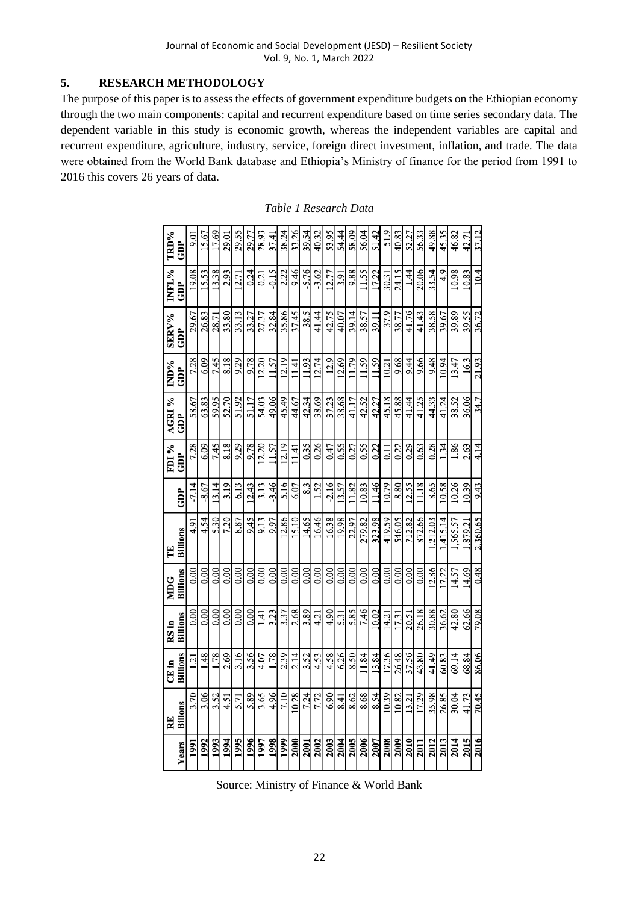## **5. RESEARCH METHODOLOGY**

The purpose of this paper is to assess the effects of government expenditure budgets on the Ethiopian economy through the two main components: capital and recurrent expenditure based on time series secondary data. The dependent variable in this study is economic growth, whereas the independent variables are capital and recurrent expenditure, agriculture, industry, service, foreign direct investment, inflation, and trade. The data were obtained from the World Bank database and Ethiopia's Ministry of finance for the period from 1991 to 2016 this covers 26 years of data.

|       |               | CE in          | RS in      | MDG      | Ĕ        |         | FDI <sub>%</sub> | <b>AGRI %</b> | IND%  | <b>SERV%</b> | INFL%      | TRD%       |
|-------|---------------|----------------|------------|----------|----------|---------|------------------|---------------|-------|--------------|------------|------------|
| Years | RE<br>Billons | Billions       | Billions   | Billions | Billions | GDP     | GDP              | GDP           | GDP   | GDP          | <b>GDP</b> | <b>GDP</b> |
| 1991  | 3.70          | $\Xi$          | 0.00       | 0.00     | 4.91     | $-7.14$ | 7.28             | 58.67         | 7.28  | 29.67        | 19.08      | 0.01       |
| 1992  | 3.06          | $\frac{48}{5}$ | 0.00       | 0.00     | 4.54     | $-8.67$ | 6.09             | 63.83         | 6.09  | 26.83        | 15.53      | 15.67      |
| 1993  | 3.52          | 1.78           | 0.00       | 0.00     | 5.30     | 13.14   | 7.45             | 59.95         | 7.45  | 28.71        | 13.38      | 17.69      |
| 1994  | 4.51          | 2.69           | 0.00       | 0.00     | 7.20     | 3.19    | 8.18             | 52.70         | 8.18  | 33.80        | 2.93       | 29.01      |
| 1995  | 5.71          | 3.16           | 0.00       | 0.00     | 8.87     | 6.13    | 9.29             | 51.92         | 9.29  | 33.13        | 12.71      | 29.55      |
| 1996  | 5.89          | 3.56           | 0.00       | 0.00     | 9.45     | 12.43   | 9.78             | 51.17         | 9.78  | 33.27        | 0.24       | 29.77      |
| 1997  | 3.65          | 4.07           | $\ddot{=}$ | 0.00     | 9.13     | 3.13    | 12.20            | 54.03         | 12.20 | 27.37        | 0.21       | 28.93      |
| 1998  | 4.96          | 1.78           | 3.23       | 0.00     | 9.97     | $-3.46$ | 11.57            | 49.06         | 11.57 | 32.84        | $-0.15$    | 37.41      |
| 1999  | 7.10          | 2.39           | 3.37       | 0.00     | 12.86    | 5.16    | 12.19            | 45.49         | 12.19 | 35.86        | 2.22       | 38.24      |
| 2000  | 10.28         | 2.14           | 2.68       | 0.00     | 15.10    | 6.07    | 11.41            | 44.67         | 11.41 | 37.45        | 9.46       | 33.26      |
| 2001  | 7.24          | 3.52           | 3.89       | 0.00     | 14.65    | 8.3     | 0.35             | 42.34         | 11.93 | 38.5         | 5.76       | 39.54      |
| 2002  | 7.72          | 4.53           | 4.21       | 0.00     | 16.46    | 1.52    | 0.26             | 38.69         | 12.74 | 41.44        | $-3.62$    | 40.32      |
| 2003  | 6.90          | 4.58           | 4.90       | 0.00     | 16.38    | $-2.16$ | 0.47             | 37.23         | 12.9  | 42.75        | 12.77      | 53.95      |
| 2004  | 8.41          | 6.26           | 5.31       | 0.00     | 19.98    | 13.57   | 0.55             | 38.68         | 12.69 | 40.07        | 3.91       | 54.44      |
| 2005  | 8.62          | 8.50           | 5.85       | 0.00     | 22.97    | 1.82    | 0.27             | 41.17         | 11.79 | 39.14        | 9.88       | 58.09      |
| 2006  | 8.68          | 11.84          | 7.46       | 0.00     | 279.82   | 10.83   | 0.55             | 42.52         | 11.59 | 38.57        | 11.55      | 56.04      |
| 2007  | 8.54          | 13.84          | 10.02      | 0.00     | 323.98   | 11.46   | 0.22             | 42.27         | 11.59 | 39.11        | 17.22      | 51.42      |
| 2008  | 10.39         | 17.36          | 14.21      | 0.00     | 419.59   | 10.79   | 0.11             | 45.18         | 10.21 | 37.9         | 30.31      | 51.9       |
| 2009  | 10.82         | 26.48          | 17.31      | 0.00     | 546.05   | 8.80    | 0.22             | 45.88         | 9.68  | 38.77        | 24.15      | 40.83      |
| 2010  | 13.21         | 37.56          | 20.51      | 0.00     | 712.82   | 12.55   | 0.29             | 41.44         | 9.44  | 41.76        | 1.44       | 52.27      |
| 2011  | 17.29         | 43.80          | 26.18      | 0.00     | 872.66   | 1.18    | 0.63             | 41.25         | 9.66  | 41.43        | 20.06      | 56.33      |
| 2012  | 35.98         | 41.49          | 30.88      | 12.86    | ,212.03  | 8.65    | 0.28             | 44.33         | 9.48  | 38.58        | 33.54      | 49.88      |
| 2013  | 26.85         | 60.83          | 36.62      | 17.22    | 415.14   | 10.58   | 134              | 41.24         | 10.94 | 39.67        | 4.9        | 45.35      |
| 2014  | 30.04         | 69.14          | 42.80      | 14.57    | 1,565.57 | 10.26   | 1.86             | 38.52         | 13.47 | 39.89        | 10.98      | 46.82      |
| 2015  | 41.73         | 68.84          | 62.66      | 14.69    | 1.879.21 | 10.39   | 2.63             | 36.06         | 16.3  | 39.55        | 10.83      | 42.71      |
| 2016  | 70.45         | 86.06          | 79.08      | 0.48     | 2.360.65 | 9.43    | 4.14             | 34.7          | 21.93 | 36.72        | 10.4       | 37.12      |

*Table 1 Research Data*

Source: Ministry of Finance & World Bank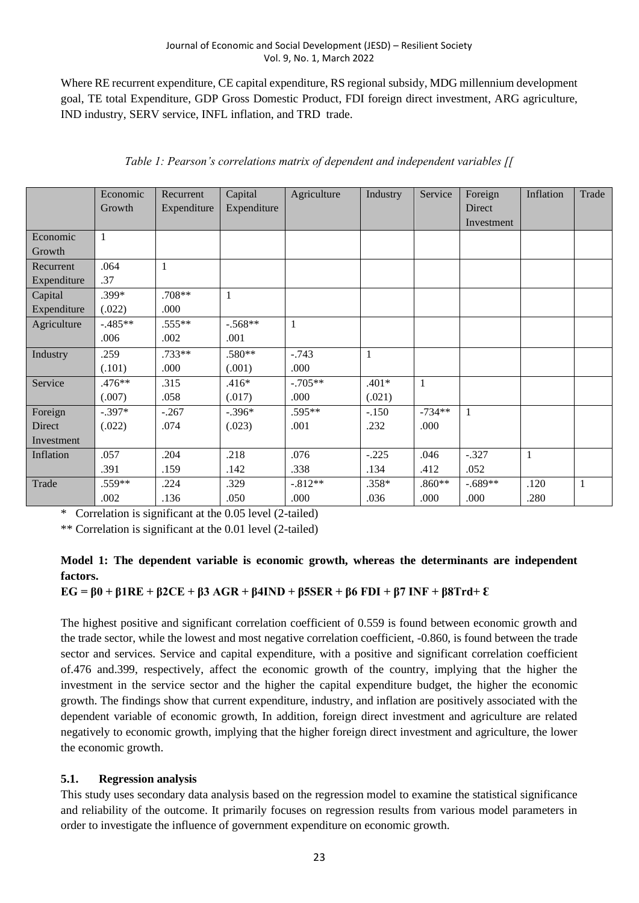Where RE recurrent expenditure, CE capital expenditure, RS regional subsidy, MDG millennium development goal, TE total Expenditure, GDP Gross Domestic Product, FDI foreign direct investment, ARG agriculture, IND industry, SERV service, INFL inflation, and TRD trade.

|             | Economic<br>Growth | Recurrent<br>Expenditure | Capital<br>Expenditure | Agriculture  | Industry | Service  | Foreign<br>Direct<br>Investment | Inflation    | Trade |
|-------------|--------------------|--------------------------|------------------------|--------------|----------|----------|---------------------------------|--------------|-------|
| Economic    | 1                  |                          |                        |              |          |          |                                 |              |       |
| Growth      |                    |                          |                        |              |          |          |                                 |              |       |
| Recurrent   | .064               | $\mathbf{1}$             |                        |              |          |          |                                 |              |       |
| Expenditure | .37                |                          |                        |              |          |          |                                 |              |       |
| Capital     | $.399*$            | $.708**$                 | $\mathbf{1}$           |              |          |          |                                 |              |       |
| Expenditure | (.022)             | .000                     |                        |              |          |          |                                 |              |       |
| Agriculture | $-0.485**$         | $.555**$                 | $-.568**$              | $\mathbf{1}$ |          |          |                                 |              |       |
|             | .006               | .002                     | .001                   |              |          |          |                                 |              |       |
| Industry    | .259               | $.733**$                 | .580**                 | $-.743$      | 1        |          |                                 |              |       |
|             | (.101)             | .000                     | (.001)                 | .000         |          |          |                                 |              |       |
| Service     | $.476**$           | .315                     | $.416*$                | $-.705**$    | $.401*$  | 1        |                                 |              |       |
|             | (.007)             | .058                     | (.017)                 | .000         | (.021)   |          |                                 |              |       |
| Foreign     | $-.397*$           | $-.267$                  | $-.396*$               | .595**       | $-.150$  | $-734**$ | $\mathbf{1}$                    |              |       |
| Direct      | (.022)             | .074                     | (.023)                 | .001         | .232     | .000     |                                 |              |       |
| Investment  |                    |                          |                        |              |          |          |                                 |              |       |
| Inflation   | .057               | .204                     | .218                   | .076         | $-.225$  | .046     | $-.327$                         | $\mathbf{1}$ |       |
|             | .391               | .159                     | .142                   | .338         | .134     | .412     | .052                            |              |       |
| Trade       | .559**             | .224                     | .329                   | $-.812**$    | $.358*$  | $.860**$ | $-.689**$                       | .120         | 1     |
|             | .002               | .136                     | .050                   | .000         | .036     | .000     | .000                            | .280         |       |

|  |  |  |  | Table 1: Pearson's correlations matrix of dependent and independent variables [[ |  |
|--|--|--|--|----------------------------------------------------------------------------------|--|

\* Correlation is significant at the 0.05 level (2-tailed)

\*\* Correlation is significant at the 0.01 level (2-tailed)

## **Model 1: The dependent variable is economic growth, whereas the determinants are independent factors.**

## **EG** =  $β0 + β1RE + β2CE + β3 AGR + β4IND + β5SER + β6 FDI + β7 INF + β8Trd + ε$

The highest positive and significant correlation coefficient of 0.559 is found between economic growth and the trade sector, while the lowest and most negative correlation coefficient, -0.860, is found between the trade sector and services. Service and capital expenditure, with a positive and significant correlation coefficient of.476 and.399, respectively, affect the economic growth of the country, implying that the higher the investment in the service sector and the higher the capital expenditure budget, the higher the economic growth. The findings show that current expenditure, industry, and inflation are positively associated with the dependent variable of economic growth, In addition, foreign direct investment and agriculture are related negatively to economic growth, implying that the higher foreign direct investment and agriculture, the lower the economic growth.

#### **5.1. Regression analysis**

This study uses secondary data analysis based on the regression model to examine the statistical significance and reliability of the outcome. It primarily focuses on regression results from various model parameters in order to investigate the influence of government expenditure on economic growth.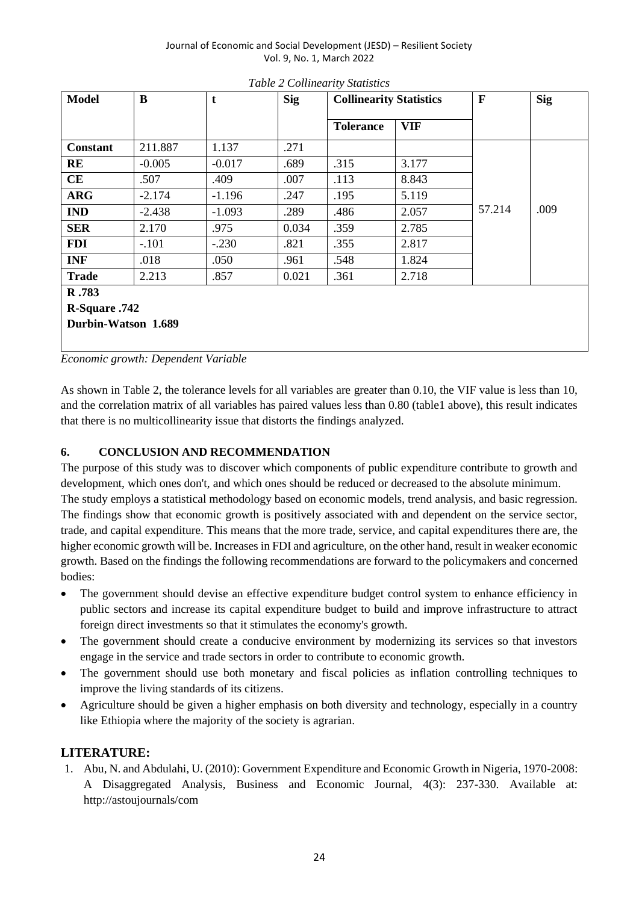Journal of Economic and Social Development (JESD) – Resilient Society Vol. 9, No. 1, March 2022

| <b>Model</b>        | $\bf{B}$ | t        | <b>Sig</b> |                  | <b>Collinearity Statistics</b> |        | <b>Sig</b> |
|---------------------|----------|----------|------------|------------------|--------------------------------|--------|------------|
|                     |          |          |            | <b>Tolerance</b> | <b>VIF</b>                     |        |            |
| <b>Constant</b>     | 211.887  | 1.137    | .271       |                  |                                |        |            |
| RE                  | $-0.005$ | $-0.017$ | .689       | .315             | 3.177                          |        |            |
| CE                  | .507     | .409     | .007       | .113             | 8.843                          |        |            |
| <b>ARG</b>          | $-2.174$ | $-1.196$ | .247       | .195             | 5.119                          |        |            |
| <b>IND</b>          | $-2.438$ | $-1.093$ | .289       | .486             | 2.057                          | 57.214 | .009       |
| <b>SER</b>          | 2.170    | .975     | 0.034      | .359             | 2.785                          |        |            |
| <b>FDI</b>          | $-.101$  | $-.230$  | .821       | .355             | 2.817                          |        |            |
| <b>INF</b>          | .018     | .050     | .961       | .548             | 1.824                          |        |            |
| <b>Trade</b>        | 2.213    | .857     | 0.021      | .361             | 2.718                          |        |            |
| R.783               |          |          |            |                  |                                |        |            |
| R-Square .742       |          |          |            |                  |                                |        |            |
| Durbin-Watson 1.689 |          |          |            |                  |                                |        |            |
|                     |          |          |            |                  |                                |        |            |

*Table 2 Collinearity Statistics*

*Economic growth: Dependent Variable* 

As shown in Table 2, the tolerance levels for all variables are greater than 0.10, the VIF value is less than 10, and the correlation matrix of all variables has paired values less than 0.80 (table1 above), this result indicates that there is no multicollinearity issue that distorts the findings analyzed.

#### **6. CONCLUSION AND RECOMMENDATION**

The purpose of this study was to discover which components of public expenditure contribute to growth and development, which ones don't, and which ones should be reduced or decreased to the absolute minimum. The study employs a statistical methodology based on economic models, trend analysis, and basic regression. The findings show that economic growth is positively associated with and dependent on the service sector, trade, and capital expenditure. This means that the more trade, service, and capital expenditures there are, the higher economic growth will be. Increases in FDI and agriculture, on the other hand, result in weaker economic growth. Based on the findings the following recommendations are forward to the policymakers and concerned bodies:

- The government should devise an effective expenditure budget control system to enhance efficiency in public sectors and increase its capital expenditure budget to build and improve infrastructure to attract foreign direct investments so that it stimulates the economy's growth.
- The government should create a conducive environment by modernizing its services so that investors engage in the service and trade sectors in order to contribute to economic growth.
- The government should use both monetary and fiscal policies as inflation controlling techniques to improve the living standards of its citizens.
- Agriculture should be given a higher emphasis on both diversity and technology, especially in a country like Ethiopia where the majority of the society is agrarian.

#### **LITERATURE:**

1. Abu, N. and Abdulahi, U. (2010): Government Expenditure and Economic Growth in Nigeria, 1970-2008: A Disaggregated Analysis, Business and Economic Journal, 4(3): 237-330. Available at: http://astoujournals/com